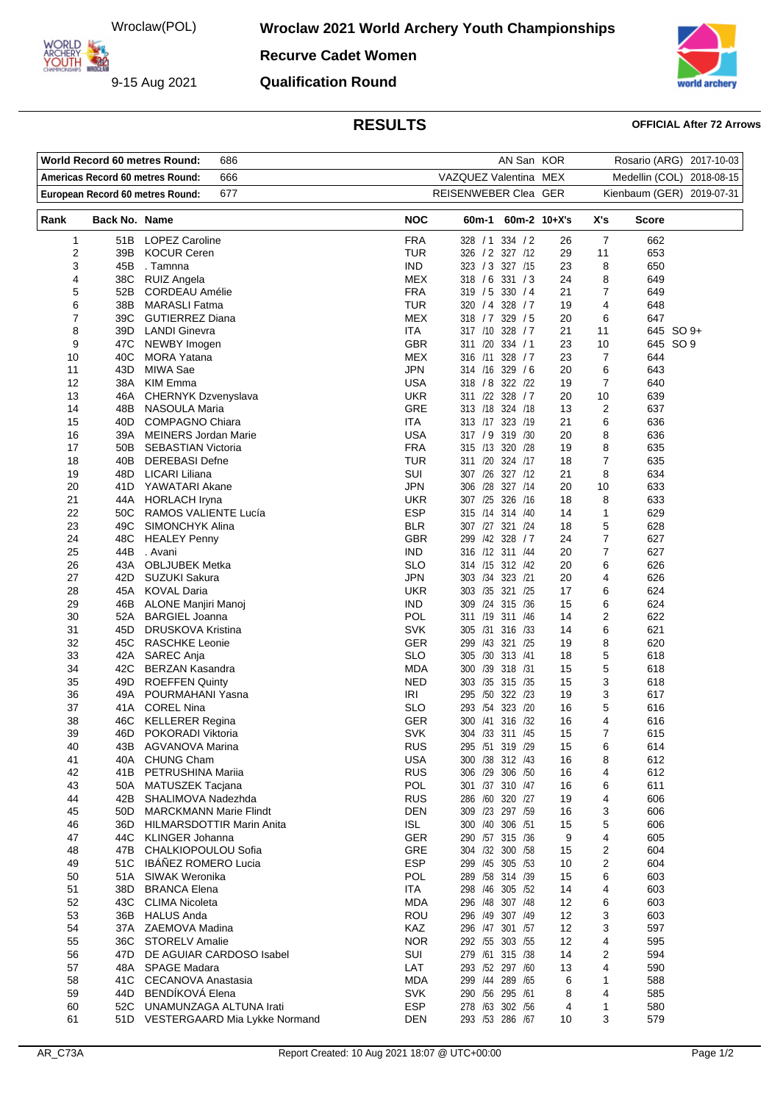Wroclaw(POL)

9-15 Aug 2021

ARCHERY

**Wroclaw 2021 World Archery Youth Championships** 

**Recurve Cadet Women Qualification Round**



## **RESULTS OFFICIAL After 72 Arrows**

| AN San KOR<br>World Record 60 metres Round:<br>686<br>Rosario (ARG) 2017-10-03 |               |                                                  |                          |                                          |              |                              |              |  |
|--------------------------------------------------------------------------------|---------------|--------------------------------------------------|--------------------------|------------------------------------------|--------------|------------------------------|--------------|--|
| Americas Record 60 metres Round:<br>666                                        |               |                                                  | VAZQUEZ Valentina MEX    |                                          |              | Medellin (COL)<br>2018-08-15 |              |  |
| 677<br>European Record 60 metres Round:                                        |               |                                                  |                          | REISENWEBER Clea GER                     |              | Kienbaum (GER) 2019-07-31    |              |  |
| Rank                                                                           | Back No. Name |                                                  | <b>NOC</b>               | 60m-1                                    | 60m-2 10+X's | X's                          | <b>Score</b> |  |
| 1                                                                              | 51B           | <b>LOPEZ Caroline</b>                            | <b>FRA</b>               | 328 / 1<br>334 / 2                       | 26           | $\overline{7}$               | 662          |  |
| 2                                                                              | 39B           | <b>KOCUR Ceren</b>                               | <b>TUR</b>               | 326 / 2 327 / 12                         | 29           | 11                           | 653          |  |
| 3                                                                              | 45B           | . Tamnna                                         | <b>IND</b>               | 323 / 3 327 /15                          | 23           | 8                            | 650          |  |
| 4<br>5                                                                         | 38C<br>52B    | <b>RUIZ Angela</b><br><b>CORDEAU Amélie</b>      | MEX<br><b>FRA</b>        | 318 / 6<br>331 / 3<br>319 / 5 330 / 4    | 24<br>21     | 8<br>7                       | 649<br>649   |  |
| 6                                                                              | 38B           | <b>MARASLI Fatma</b>                             | <b>TUR</b>               | 320 / 4 328 / 7                          | 19           | 4                            | 648          |  |
| 7                                                                              | 39C           | <b>GUTIERREZ Diana</b>                           | MEX                      | 329/5<br>318 / 7                         | 20           | 6                            | 647          |  |
| 8                                                                              | 39D -         | <b>LANDI Ginevra</b>                             | ITA                      | 317 /10 328 / 7                          | 21           | 11                           | 645 SO 9+    |  |
| 9                                                                              |               | 47C NEWBY Imogen                                 | <b>GBR</b>               | 311 /20 334 / 1                          | 23           | 10                           | 645 SO 9     |  |
| 10                                                                             | 40C           | <b>MORA Yatana</b>                               | <b>MEX</b>               | 328 / 7<br>316 /11                       | 23           | 7                            | 644          |  |
| 11                                                                             | 43D -         | MIWA Sae                                         | <b>JPN</b>               | 314 /16 329 / 6                          | 20           | 6                            | 643          |  |
| 12                                                                             |               | 38A KIM Emma                                     | <b>USA</b>               | 318 / 8 322 / 22                         | 19           | $\overline{7}$               | 640          |  |
| 13                                                                             | 46A           | CHERNYK Dzvenyslava                              | <b>UKR</b>               | 311 /22 328 / 7                          | 20           | 10                           | 639          |  |
| 14                                                                             | 48B           | NASOULA Maria                                    | <b>GRE</b>               | 313 /18 324 /18                          | 13           | 2                            | 637          |  |
| 15                                                                             | 40D -         | <b>COMPAGNO Chiara</b>                           | ITA                      | 313 /17 323 /19                          | 21           | 6                            | 636          |  |
| 16                                                                             | 39A           | <b>MEINERS Jordan Marie</b>                      | <b>USA</b>               | 317 / 9<br>319 /30                       | 20           | 8                            | 636          |  |
| 17                                                                             | 50B           | <b>SEBASTIAN Victoria</b>                        | <b>FRA</b>               | 315 /13 320 /28                          | 19           | 8                            | 635          |  |
| 18                                                                             | 40B           | <b>DEREBASI Defne</b>                            | <b>TUR</b>               | 324 /17<br>311 /20                       | 18           | 7                            | 635          |  |
| 19                                                                             | 48D.          | LICARI Liliana                                   | SUI                      | 307 /26<br>327 /12                       | 21           | 8                            | 634          |  |
| 20                                                                             |               | 41D YAWATARI Akane                               | <b>JPN</b>               | 306 /28<br>327 /14                       | 20           | 10                           | 633          |  |
| 21                                                                             |               | 44A HORLACH Iryna                                | <b>UKR</b>               | 326 /16<br>307 /25                       | 18           | 8                            | 633          |  |
| 22                                                                             | 50C           | RAMOS VALIENTE Lucía                             | <b>ESP</b>               | 315 /14 314 /40                          | 14           | 1                            | 629          |  |
| 23<br>24                                                                       | 49C<br>48C    | SIMONCHYK Alina<br><b>HEALEY Penny</b>           | <b>BLR</b><br><b>GBR</b> | 307 /27 321 /24<br>299<br>/42<br>328 / 7 | 18<br>24     | 5<br>$\overline{7}$          | 628<br>627   |  |
| 25                                                                             | 44B           | . Avani                                          | <b>IND</b>               | 316 /12 311 /44                          | 20           | 7                            | 627          |  |
| 26                                                                             | 43A           | <b>OBLJUBEK Metka</b>                            | <b>SLO</b>               | 314 /15 312 /42                          | 20           | 6                            | 626          |  |
| 27                                                                             | 42D           | <b>SUZUKI Sakura</b>                             | <b>JPN</b>               | 303 /34 323 /21                          | 20           | 4                            | 626          |  |
| 28                                                                             |               | 45A KOVAL Daria                                  | <b>UKR</b>               | 303 /35 321 /25                          | 17           | 6                            | 624          |  |
| 29                                                                             |               | 46B ALONE Manjiri Manoj                          | <b>IND</b>               | 309 /24 315 /36                          | 15           | 6                            | 624          |  |
| 30                                                                             | 52A           | <b>BARGIEL Joanna</b>                            | <b>POL</b>               | 311 /19<br>311 /46                       | 14           | $\overline{c}$               | 622          |  |
| 31                                                                             | 45D           | DRUSKOVA Kristina                                | <b>SVK</b>               | 305 /31 316 /33                          | 14           | 6                            | 621          |  |
| 32                                                                             | 45C           | <b>RASCHKE Leonie</b>                            | GER                      | 299 /43 321 /25                          | 19           | 8                            | 620          |  |
| 33                                                                             | 42A           | SAREC Anja                                       | <b>SLO</b>               | 305 /30 313 /41                          | 18           | 5                            | 618          |  |
| 34                                                                             | 42C -         | <b>BERZAN Kasandra</b>                           | <b>MDA</b>               | 300 /39 318 /31                          | 15           | 5                            | 618          |  |
| 35                                                                             | 49D -         | <b>ROEFFEN Quinty</b>                            | <b>NED</b>               | 303 /35 315 /35                          | 15           | 3                            | 618          |  |
| 36                                                                             | 49A           | POURMAHANI Yasna                                 | IRI                      | 295 /50<br>322 /23                       | 19           | 3                            | 617          |  |
| 37                                                                             | 41 A          | <b>COREL Nina</b>                                | <b>SLO</b>               | 293 /54 323 /20                          | 16           | 5                            | 616          |  |
| 38                                                                             | 46C           | <b>KELLERER Regina</b>                           | GER                      | 300 /41 316 /32                          | 16           | 4                            | 616          |  |
| 39                                                                             | 46D -         | POKORADI Viktoria                                | SVK                      | 304 /33 311 /45                          | 15           | $\mathbf{7}$                 | 615          |  |
| 40                                                                             |               | 43B AGVANOVA Marina<br>40A CHUNG Cham            | <b>RUS</b><br><b>USA</b> | 295 /51 319 /29<br>300 /38 312 /43       | 15           | 6                            | 614<br>612   |  |
| 41<br>42                                                                       |               | 41B PETRUSHINA Mariia                            | <b>RUS</b>               | 306 /29 306 /50                          | 16<br>16     | 8<br>4                       | 612          |  |
| 43                                                                             | 50A           | MATUSZEK Tacjana                                 | POL                      | 301 /37 310 /47                          | 16           | 6                            | 611          |  |
| 44                                                                             | 42B           | SHALIMOVA Nadezhda                               | <b>RUS</b>               | 286 /60 320 /27                          | 19           | 4                            | 606          |  |
| 45                                                                             | 50D           | <b>MARCKMANN Marie Flindt</b>                    | <b>DEN</b>               | 309 /23 297 /59                          | 16           | 3                            | 606          |  |
| 46                                                                             | 36D -         | HILMARSDOTTIR Marin Anita                        | <b>ISL</b>               | 300 /40 306 /51                          | 15           | 5                            | 606          |  |
| 47                                                                             |               | 44C KLINGER Johanna                              | GER                      | 290 /57 315 /36                          | 9            | 4                            | 605          |  |
| 48                                                                             | 47B           | CHALKIOPOULOU Sofia                              | <b>GRE</b>               | 304 /32 300 /58                          | 15           | 2                            | 604          |  |
| 49                                                                             |               | 51C IBÁÑEZ ROMERO Lucia                          | <b>ESP</b>               | 299 /45 305 /53                          | 10           | 2                            | 604          |  |
| 50                                                                             | 51A           | SIWAK Weronika                                   | POL                      | 289 /58 314 /39                          | 15           | 6                            | 603          |  |
| 51                                                                             | 38D           | <b>BRANCA Elena</b>                              | ITA                      | 298 /46 305 /52                          | 14           | 4                            | 603          |  |
| 52                                                                             |               | 43C CLIMA Nicoleta                               | <b>MDA</b>               | 296 /48 307 /48                          | 12           | 6                            | 603          |  |
| 53                                                                             |               | 36B HALUS Anda                                   | ROU                      | 296 /49 307 /49                          | 12           | 3                            | 603          |  |
| 54                                                                             |               | 37A ZAEMOVA Madina                               | KAZ                      | 296 /47 301 /57                          | 12           | 3                            | 597          |  |
| 55                                                                             |               | 36C STORELV Amalie                               | <b>NOR</b>               | 292 /55 303 /55                          | 12           | 4                            | 595          |  |
| 56                                                                             | 47D -         | DE AGUIAR CARDOSO Isabel                         | SUI                      | 279 /61 315 /38                          | 14           | 2                            | 594          |  |
| 57                                                                             | 48A           | <b>SPAGE Madara</b>                              | LAT                      | 293 /52 297 /60                          | 13           | 4                            | 590          |  |
| 58<br>59                                                                       | 44D -         | 41C CECANOVA Anastasia<br><b>BENDIKOVA Elena</b> | <b>MDA</b><br><b>SVK</b> | 299 /44 289 /65<br>290 /56 295 /61       | 6<br>8       | 1<br>4                       | 588<br>585   |  |
| 60                                                                             | 52C           | UNAMUNZAGA ALTUNA Irati                          | <b>ESP</b>               | 278 /63 302 /56                          | 4            | 1                            | 580          |  |
| 61                                                                             |               | 51D VESTERGAARD Mia Lykke Normand                | <b>DEN</b>               | 293 /53 286 /67                          | 10           | 3                            | 579          |  |
|                                                                                |               |                                                  |                          |                                          |              |                              |              |  |